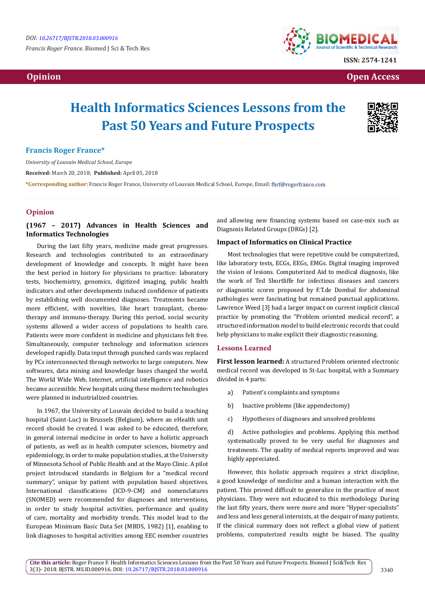*Francis Roger France.* Biomed J Sci & Tech Res



**ISSN: 2574-1241**

 **Opinion Open Access** 

# **Health Informatics Sciences Lessons from the Past 50 Years and Future Prospects**



# **Francis Roger France\***

*University of Louvain Medical School, Europe*

**Received:** March 20, 2018; **Published:** April 05, 2018

**\*Corresponding author:** Francis Roger France, University of Louvain Medical School, Europe, Email:

### **Opinion**

# **(1967 – 2017) Advances in Health Sciences and Informatics Technologies**

During the last fifty years, medicine made great progresses. Research and technologies contributed to an extraordinary development of knowledge and concepts. It might have been the best period in history for physicians to practice: laboratory tests, biochemistry, genomics, digitized imaging, public health indicators and other developments induced confidence of patients by establishing well documented diagnoses. Treatments became more efficient, with novelties, like heart transplant, chemotherapy and immuno-therapy. During this period, social security systems allowed a wider access of populations to health care. Patients were more confident in medicine and physicians felt free. Simultaneously, computer technology and information sciences developed rapidly. Data input through punched cards was replaced by PCs interconnected through networks to large computers. New softwares, data mining and knowledge bases changed the world. The World Wide Web, Internet, artificial intelligence and robotics became accessible. New hospitals using these modern technologies were planned in industrialized countries.

In 1967, the University of Louvain decided to build a teaching hospital (Saint-Luc) in Brussels (Belgium), where an eHealth unit record should be created. I was asked to be educated, therefore, in general internal medicine in order to have a holistic approach of patients, as well as in health computer sciences, biometry and epidemiology, in order to make population studies, at the University of Minnesota School of Public Health and at the Mayo Clinic. A pilot project introduced standards in Belgium for a "medical record summary", unique by patient with population based objectives. International classifications (ICD-9-CM) and nomenclatures (SNOMED) were recommended for diagnoses and interventions, in order to study hospital activities, performance and quality of care, mortality and morbidity trends. This model lead to the European Minimum Basic Data Set (MBDS, 1982) [1], enabling to link diagnoses to hospital activities among EEC member countries

and allowing new financing systems based on case-mix such as Diagnosis Related Groups (DRGs) [2].

#### **Impact of Informatics on Clinical Practice**

Most technologies that were repetitive could be computerized, like laboratory tests, ECGs, EEGs, EMGs. Digital imaging improved the vision of lesions. Computerized Aid to medical diagnosis, like the work of Ted Shortliffe for infectious diseases and cancers or diagnostic scores proposed by F.T.de Dombal for abdominal pathologies were fascinating but remained punctual applications. Lawrence Weed [3] had a larger impact on current implicit clinical practice by promoting the "Problem oriented medical record", a structured information model to build electronic records that could help physicians to make explicit their diagnostic reasoning.

# **Lessons Learned**

**First lesson learned:** A structured Problem oriented electronic medical record was developed in St-Luc hospital, with a Summary divided in 4 parts:

- a) Patient's complaints and symptoms
- b) Inactive problems (like appendectomy)
- c) Hypotheses of diagnoses and unsolved problems

d) Active pathologies and problems. Applying this method systematically proved to be very useful for diagnoses and treatments. The quality of medical reports improved and was highly appreciated.

However, this holistic approach requires a strict discipline, a good knowledge of medicine and a human interaction with the patient. This proved difficult to generalize in the practice of most physicians. They were not educated to this methodology. During the last fifty years, there were more and more "Hyper-specialists" and less and less general internists, at the despair of many patients. If the clinical summary does not reflect a global view of patient problems, computerized results might be biased. The quality